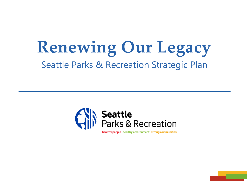# **Renewing Our Legacy** Seattle Parks & Recreation Strategic Plan



healthy people healthy environment strong communities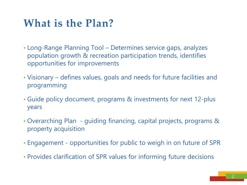### **What is the Plan?**

- Long-Range Planning Tool Determines service gaps, analyzes population growth & recreation participation trends, identifies opportunities for improvements
- Visionary defines values, goals and needs for future facilities and programming
- Guide policy document, programs & investments for next 12-plus years
- Overarching Plan guiding financing, capital projects, programs & property acquisition
- Engagement opportunities for public to weigh in on future of SPR
- Provides clarification of SPR values for informing future decisions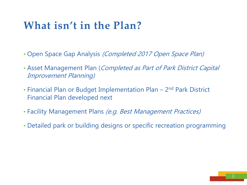#### **What isn't in the Plan?**

- Open Space Gap Analysis *(Completed 2017 Open Space Plan)*
- Asset Management Plan (Completed as Part of Park District Capital Improvement Planning)
- Financial Plan or Budget Implementation Plan 2<sup>nd</sup> Park District Financial Plan developed next
- Facility Management Plans (e.g. Best Management Practices)
- Detailed park or building designs or specific recreation programming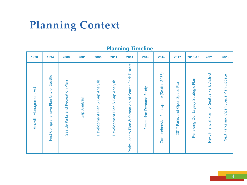## **Planning Context**

| 1990                  | 1994                                              | 2000                                 | 2001         | 2006                                                | 2011                                  | 2014                                                      | 2016                          | 2016                                     | 2017                                    | 2018-19                                  | 2021                                          | 2023                                     |
|-----------------------|---------------------------------------------------|--------------------------------------|--------------|-----------------------------------------------------|---------------------------------------|-----------------------------------------------------------|-------------------------------|------------------------------------------|-----------------------------------------|------------------------------------------|-----------------------------------------------|------------------------------------------|
| Growth Management Act | Seattle<br>Plan City of<br>Comprehensive<br>First | and Recreation Plan<br>Seattle Parks | Gap Analysis | Gap Analysis<br><mark>න්</mark><br>Development Plan | Gap Analysis<br>ಹ<br>Development Plan | Park District<br>Parks Legacy Plan & formation of Seattle | Study<br>Demand<br>Recreation | Comprehensive Plan Update (Seattle 2035) | Plan<br>Open Space<br>and<br>2017 Parks | Plan<br>Our Legacy Strategic<br>Renewing | Next Financial Plan for Seattle Park District | Open Space Plan Update<br>Next Parks and |

#### **Planning Timeline**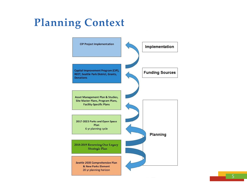## **Planning Context**

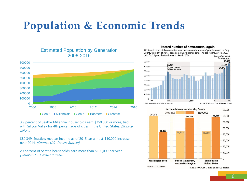### **Population & Economic Trends**



Estimated Population by Generation 2006-2016

3.9 percent of Seattle Millennial households earn \$350,000 or more, tied with Silicon Valley for 4th percentage of cities in the United States. (Source: Zillow)

\$80,349: Seattle's median income as of 2015, an almost-\$10,000 increase over 2014. (Source: U.S. Census Bureau)

20 percent of Seattle households earn more than \$150,000 per year. (Source: U.S. Census Bureau)

#### Record number of newcomers, again

2016 marks the third consecutive year that a record number of people moved to King County from out of state, based on driver's license data. The old record, set in 1990, held for 24 years before it was broken in 2014. Consecutive record-



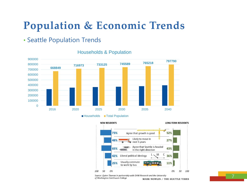### **Population & Economic Trends**

#### • Seattle Population Trends



#### Households & Population

Households Total Population



Source: Quinn Thomas in partnership with DHM Research and the University of Washington Continuum College

MARK NOWLIN / THE SEATTLE TIMES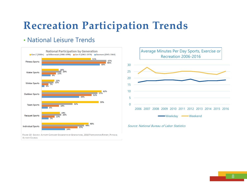## **Recreation Participation Trends**

#### • National Leisure Trends





Source: National Bureau of Labor Statistics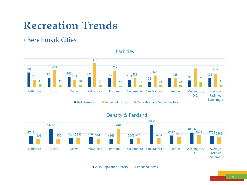### **Recreation Trends**

#### • Benchmark Cities



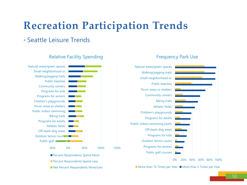## **Recreation Participation Trends**

#### • Seattle Leisure Trends



#### Relative Facility Spending

Net Percent Respondents More/Less



#### Frequency Park Use

 $\blacksquare$  More than 10 Times per Year  $\blacksquare$  More than 2 Times per Year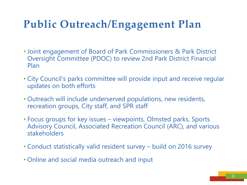## **Public Outreach/Engagement Plan**

- Joint engagement of Board of Park Commissioners & Park District Oversight Committee (PDOC) to review 2nd Park District Financial Plan
- City Council's parks committee will provide input and receive regular updates on both efforts
- Outreach will include underserved populations, new residents, recreation groups, City staff, and SPR staff
- Focus groups for key issues viewpoints, Olmsted parks, Sports Advisory Council, Associated Recreation Council (ARC), and various stakeholders
- Conduct statistically valid resident survey build on 2016 survey
- Online and social media outreach and input